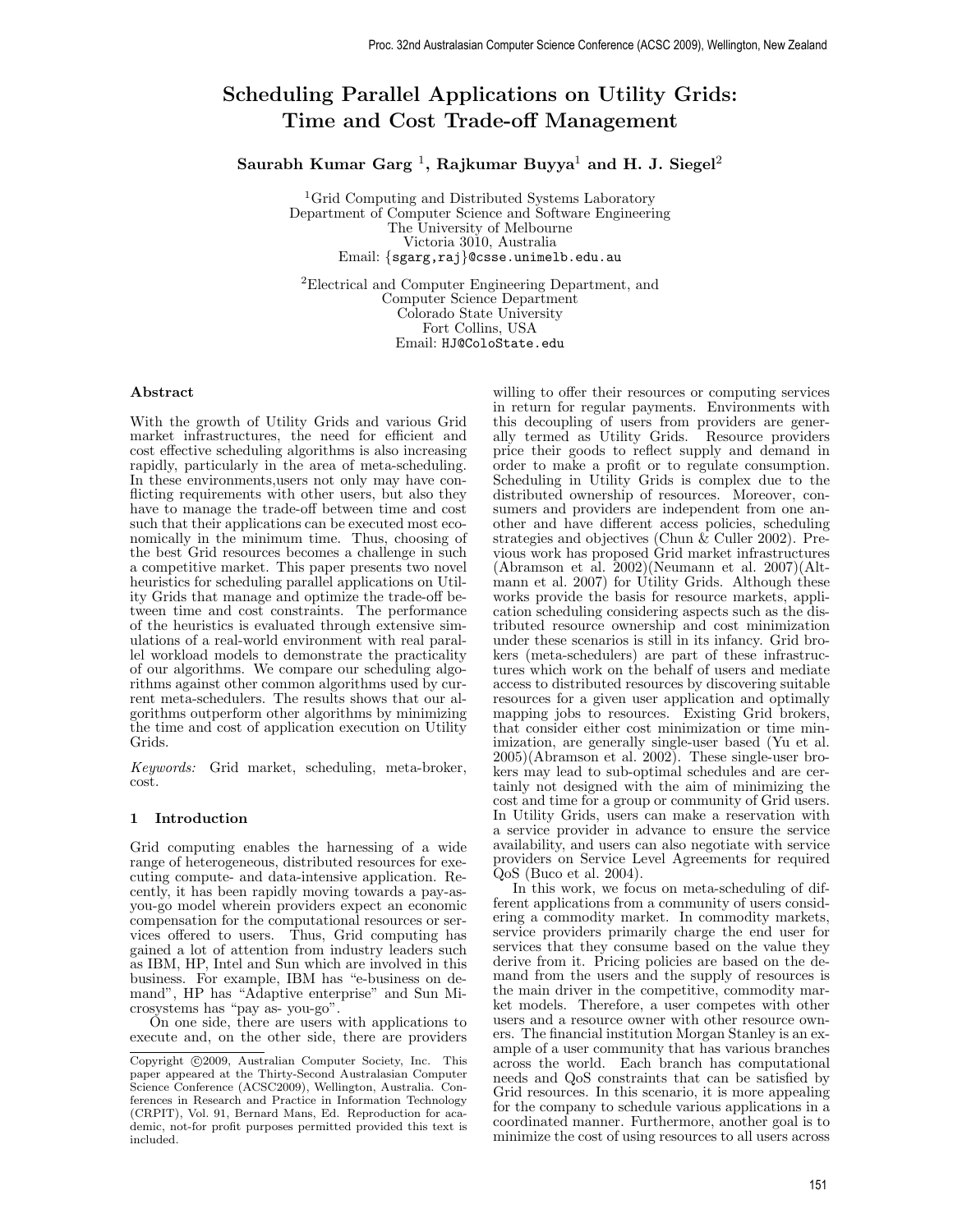# Scheduling Parallel Applications on Utility Grids: Time and Cost Trade-off Management

Saurabh Kumar Garg  $^1,$  Rajkumar Buyya $^1$  and H. J. Siegel $^2$ 

<sup>1</sup>Grid Computing and Distributed Systems Laboratory Department of Computer Science and Software Engineering The University of Melbourne Victoria 3010, Australia Email: {sgarg,raj}@csse.unimelb.edu.au

<sup>2</sup>Electrical and Computer Engineering Department, and Computer Science Department Colorado State University Fort Collins, USA Email: HJ@ColoState.edu

# Abstract

With the growth of Utility Grids and various Grid market infrastructures, the need for efficient and cost effective scheduling algorithms is also increasing rapidly, particularly in the area of meta-scheduling. In these environments,users not only may have conflicting requirements with other users, but also they have to manage the trade-off between time and cost such that their applications can be executed most economically in the minimum time. Thus, choosing of the best Grid resources becomes a challenge in such a competitive market. This paper presents two novel heuristics for scheduling parallel applications on Utility Grids that manage and optimize the trade-off between time and cost constraints. The performance of the heuristics is evaluated through extensive simulations of a real-world environment with real parallel workload models to demonstrate the practicality of our algorithms. We compare our scheduling algorithms against other common algorithms used by current meta-schedulers. The results shows that our algorithms outperform other algorithms by minimizing the time and cost of application execution on Utility Grids.

Keywords: Grid market, scheduling, meta-broker, cost.

## 1 Introduction

Grid computing enables the harnessing of a wide range of heterogeneous, distributed resources for executing compute- and data-intensive application. Recently, it has been rapidly moving towards a pay-asyou-go model wherein providers expect an economic compensation for the computational resources or services offered to users. Thus, Grid computing has gained a lot of attention from industry leaders such as IBM, HP, Intel and Sun which are involved in this business. For example, IBM has "e-business on demand", HP has "Adaptive enterprise" and Sun Microsystems has "pay as- you-go".

On one side, there are users with applications to execute and, on the other side, there are providers

willing to offer their resources or computing services in return for regular payments. Environments with this decoupling of users from providers are generally termed as Utility Grids. Resource providers price their goods to reflect supply and demand in order to make a profit or to regulate consumption. Scheduling in Utility Grids is complex due to the distributed ownership of resources. Moreover, consumers and providers are independent from one another and have different access policies, scheduling strategies and objectives (Chun  $\&$  Culler 2002). Previous work has proposed Grid market infrastructures (Abramson et al. 2002)(Neumann et al. 2007)(Altmann et al. 2007) for Utility Grids. Although these works provide the basis for resource markets, application scheduling considering aspects such as the distributed resource ownership and cost minimization under these scenarios is still in its infancy. Grid brokers (meta-schedulers) are part of these infrastructures which work on the behalf of users and mediate access to distributed resources by discovering suitable resources for a given user application and optimally mapping jobs to resources. Existing Grid brokers, that consider either cost minimization or time minimization, are generally single-user based (Yu et al. 2005)(Abramson et al. 2002). These single-user brokers may lead to sub-optimal schedules and are certainly not designed with the aim of minimizing the cost and time for a group or community of Grid users. In Utility Grids, users can make a reservation with a service provider in advance to ensure the service availability, and users can also negotiate with service providers on Service Level Agreements for required QoS (Buco et al. 2004).

In this work, we focus on meta-scheduling of different applications from a community of users considering a commodity market. In commodity markets, service providers primarily charge the end user for services that they consume based on the value they derive from it. Pricing policies are based on the demand from the users and the supply of resources is the main driver in the competitive, commodity market models. Therefore, a user competes with other users and a resource owner with other resource owners. The financial institution Morgan Stanley is an example of a user community that has various branches across the world. Each branch has computational needs and QoS constraints that can be satisfied by Grid resources. In this scenario, it is more appealing for the company to schedule various applications in a coordinated manner. Furthermore, another goal is to minimize the cost of using resources to all users across

Copyright ©2009, Australian Computer Society, Inc. This paper appeared at the Thirty-Second Australasian Computer Science Conference (ACSC2009), Wellington, Australia. Conferences in Research and Practice in Information Technology (CRPIT), Vol. 91, Bernard Mans, Ed. Reproduction for academic, not-for profit purposes permitted provided this text is included.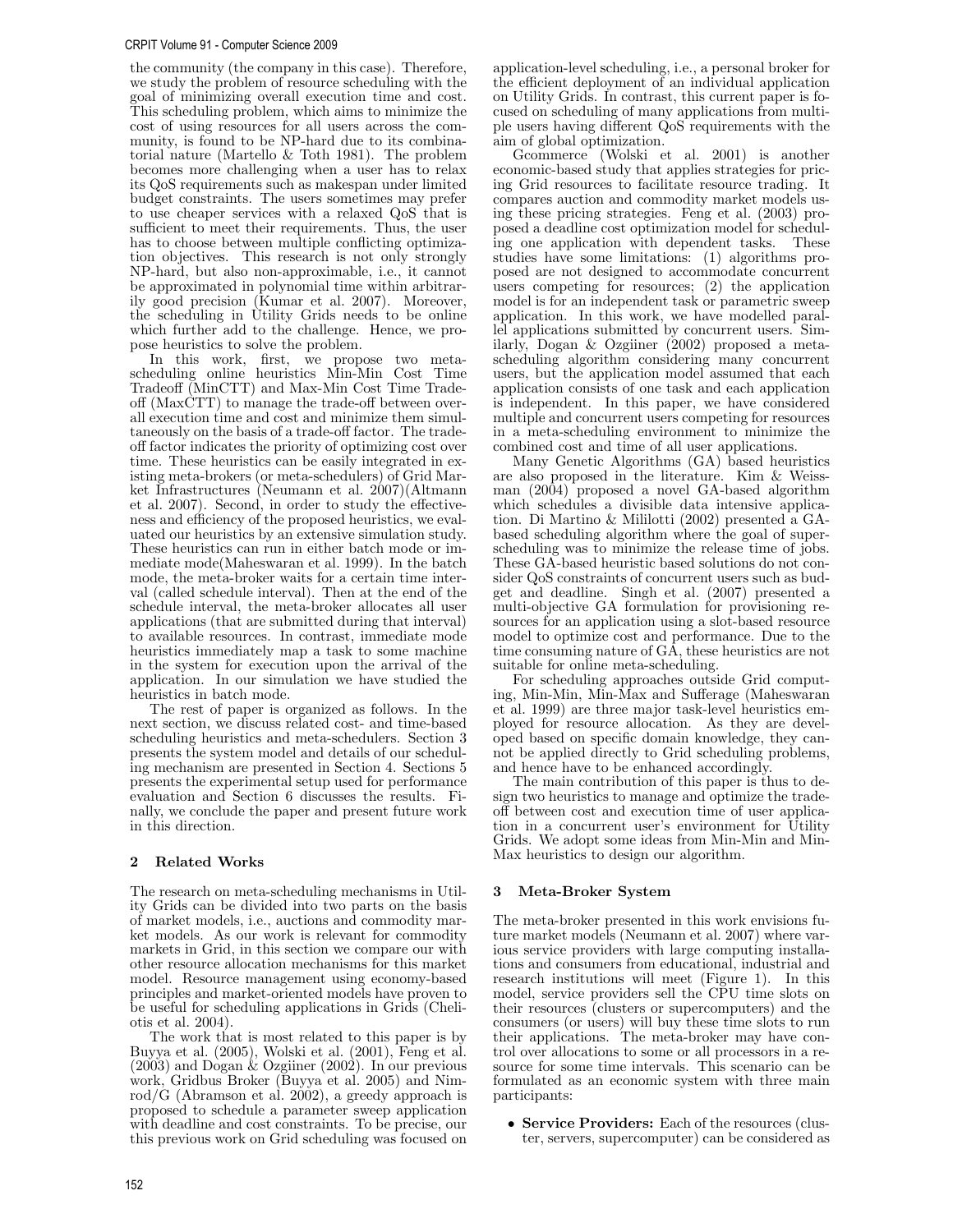#### CRPIT Volume 91 - Computer Science 2009

the community (the company in this case). Therefore, we study the problem of resource scheduling with the goal of minimizing overall execution time and cost. This scheduling problem, which aims to minimize the cost of using resources for all users across the community, is found to be NP-hard due to its combinatorial nature (Martello & Toth 1981). The problem becomes more challenging when a user has to relax its QoS requirements such as makespan under limited budget constraints. The users sometimes may prefer to use cheaper services with a relaxed QoS that is sufficient to meet their requirements. Thus, the user has to choose between multiple conflicting optimization objectives. This research is not only strongly NP-hard, but also non-approximable, i.e., it cannot be approximated in polynomial time within arbitrarily good precision (Kumar et al. 2007). Moreover, the scheduling in Utility Grids needs to be online which further add to the challenge. Hence, we propose heuristics to solve the problem.

In this work, first, we propose two metascheduling online heuristics Min-Min Cost Time Tradeoff (MinCTT) and Max-Min Cost Time Tradeoff (MaxCTT) to manage the trade-off between overall execution time and cost and minimize them simultaneously on the basis of a trade-off factor. The tradeoff factor indicates the priority of optimizing cost over time. These heuristics can be easily integrated in existing meta-brokers (or meta-schedulers) of Grid Market Infrastructures (Neumann et al. 2007)(Altmann et al. 2007). Second, in order to study the effectiveness and efficiency of the proposed heuristics, we evaluated our heuristics by an extensive simulation study. These heuristics can run in either batch mode or immediate mode(Maheswaran et al. 1999). In the batch mode, the meta-broker waits for a certain time interval (called schedule interval). Then at the end of the schedule interval, the meta-broker allocates all user applications (that are submitted during that interval) to available resources. In contrast, immediate mode heuristics immediately map a task to some machine in the system for execution upon the arrival of the application. In our simulation we have studied the heuristics in batch mode.

The rest of paper is organized as follows. In the next section, we discuss related cost- and time-based scheduling heuristics and meta-schedulers. Section 3 presents the system model and details of our scheduling mechanism are presented in Section 4. Sections 5 presents the experimental setup used for performance evaluation and Section 6 discusses the results. Finally, we conclude the paper and present future work in this direction.

# 2 Related Works

The research on meta-scheduling mechanisms in Utility Grids can be divided into two parts on the basis of market models, i.e., auctions and commodity market models. As our work is relevant for commodity markets in Grid, in this section we compare our with other resource allocation mechanisms for this market model. Resource management using economy-based principles and market-oriented models have proven to be useful for scheduling applications in Grids (Cheliotis et al. 2004).

The work that is most related to this paper is by Buyya et al. (2005), Wolski et al. (2001), Feng et al. (2003) and Dogan & Ozgiiner (2002). In our previous work, Gridbus Broker (Buyya et al. 2005) and Nimrod/G (Abramson et al. 2002), a greedy approach is proposed to schedule a parameter sweep application with deadline and cost constraints. To be precise, our this previous work on Grid scheduling was focused on

application-level scheduling, i.e., a personal broker for the efficient deployment of an individual application on Utility Grids. In contrast, this current paper is focused on scheduling of many applications from multiple users having different QoS requirements with the aim of global optimization.

Gcommerce (Wolski et al. 2001) is another economic-based study that applies strategies for pricing Grid resources to facilitate resource trading. It compares auction and commodity market models using these pricing strategies. Feng et al. (2003) proposed a deadline cost optimization model for scheduling one application with dependent tasks. These studies have some limitations: (1) algorithms proposed are not designed to accommodate concurrent users competing for resources; (2) the application model is for an independent task or parametric sweep application. In this work, we have modelled parallel applications submitted by concurrent users. Similarly, Dogan & Ozgiiner (2002) proposed a metascheduling algorithm considering many concurrent users, but the application model assumed that each application consists of one task and each application is independent. In this paper, we have considered multiple and concurrent users competing for resources in a meta-scheduling environment to minimize the combined cost and time of all user applications.

Many Genetic Algorithms (GA) based heuristics are also proposed in the literature. Kim & Weissman (2004) proposed a novel GA-based algorithm which schedules a divisible data intensive application. Di Martino & Mililotti (2002) presented a GAbased scheduling algorithm where the goal of superscheduling was to minimize the release time of jobs. These GA-based heuristic based solutions do not consider QoS constraints of concurrent users such as budget and deadline. Singh et al. (2007) presented a multi-objective GA formulation for provisioning resources for an application using a slot-based resource model to optimize cost and performance. Due to the time consuming nature of GA, these heuristics are not suitable for online meta-scheduling.

For scheduling approaches outside Grid computing, Min-Min, Min-Max and Sufferage (Maheswaran et al. 1999) are three major task-level heuristics employed for resource allocation. As they are developed based on specific domain knowledge, they cannot be applied directly to Grid scheduling problems, and hence have to be enhanced accordingly.

The main contribution of this paper is thus to design two heuristics to manage and optimize the tradeoff between cost and execution time of user application in a concurrent user's environment for Utility Grids. We adopt some ideas from Min-Min and Min-Max heuristics to design our algorithm.

# 3 Meta-Broker System

The meta-broker presented in this work envisions future market models (Neumann et al. 2007) where various service providers with large computing installations and consumers from educational, industrial and research institutions will meet (Figure 1). In this model, service providers sell the CPU time slots on their resources (clusters or supercomputers) and the consumers (or users) will buy these time slots to run their applications. The meta-broker may have control over allocations to some or all processors in a resource for some time intervals. This scenario can be formulated as an economic system with three main participants:

• Service Providers: Each of the resources (cluster, servers, supercomputer) can be considered as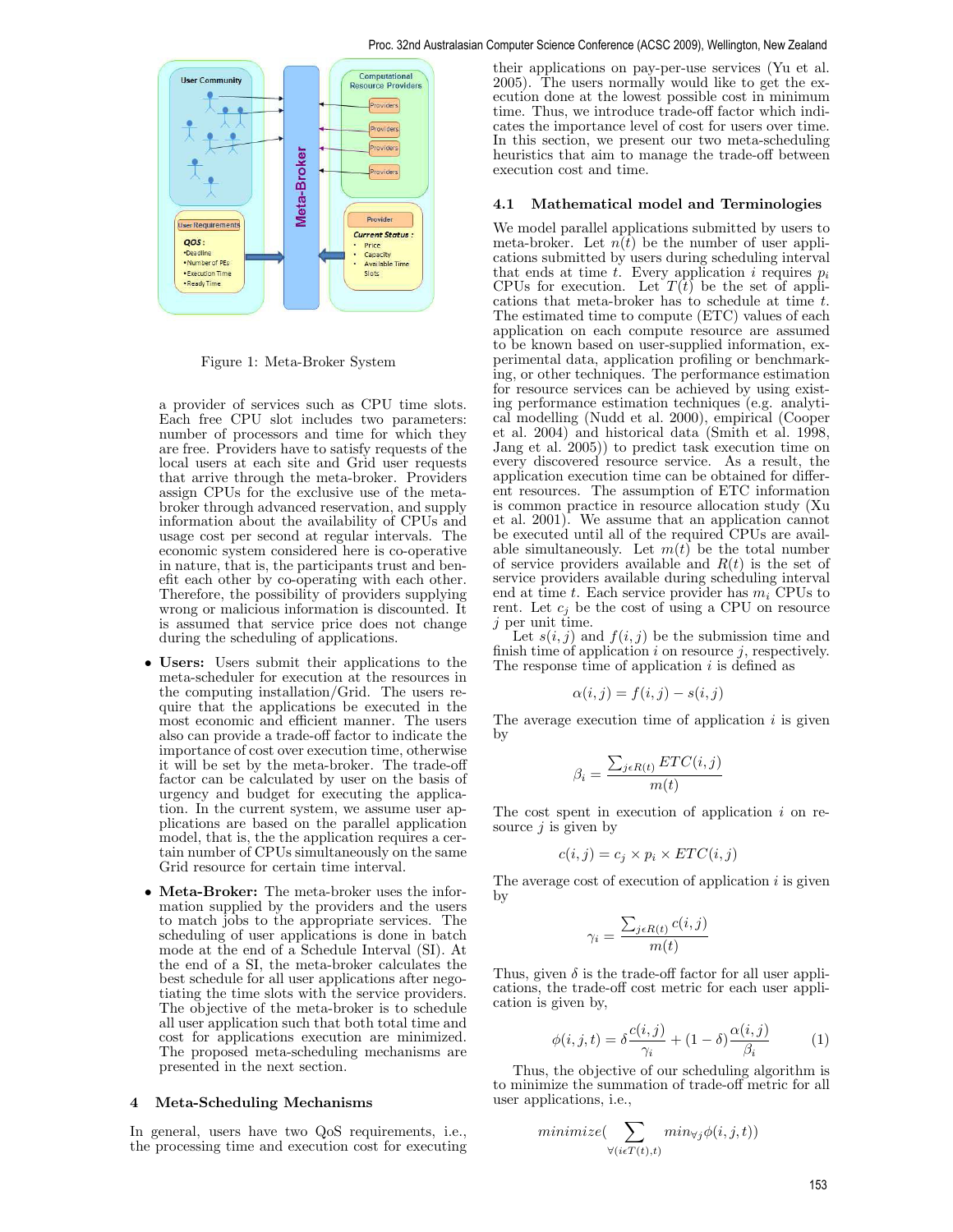

Figure 1: Meta-Broker System

a provider of services such as CPU time slots. Each free CPU slot includes two parameters: number of processors and time for which they are free. Providers have to satisfy requests of the local users at each site and Grid user requests that arrive through the meta-broker. Providers assign CPUs for the exclusive use of the metabroker through advanced reservation, and supply information about the availability of CPUs and usage cost per second at regular intervals. The economic system considered here is co-operative in nature, that is, the participants trust and benefit each other by co-operating with each other. Therefore, the possibility of providers supplying wrong or malicious information is discounted. It is assumed that service price does not change during the scheduling of applications.

- Users: Users submit their applications to the meta-scheduler for execution at the resources in the computing installation/Grid. The users require that the applications be executed in the most economic and efficient manner. The users also can provide a trade-off factor to indicate the importance of cost over execution time, otherwise it will be set by the meta-broker. The trade-off factor can be calculated by user on the basis of urgency and budget for executing the application. In the current system, we assume user applications are based on the parallel application model, that is, the the application requires a certain number of CPUs simultaneously on the same Grid resource for certain time interval.
- Meta-Broker: The meta-broker uses the information supplied by the providers and the users to match jobs to the appropriate services. The scheduling of user applications is done in batch mode at the end of a Schedule Interval (SI). At the end of a SI, the meta-broker calculates the best schedule for all user applications after negotiating the time slots with the service providers. The objective of the meta-broker is to schedule all user application such that both total time and cost for applications execution are minimized. The proposed meta-scheduling mechanisms are presented in the next section.

## 4 Meta-Scheduling Mechanisms

In general, users have two  $Q_0S$  requirements, i.e., the processing time and execution cost for executing their applications on pay-per-use services (Yu et al. 2005). The users normally would like to get the execution done at the lowest possible cost in minimum time. Thus, we introduce trade-off factor which indicates the importance level of cost for users over time. In this section, we present our two meta-scheduling heuristics that aim to manage the trade-off between execution cost and time.

## 4.1 Mathematical model and Terminologies

We model parallel applications submitted by users to meta-broker. Let  $n(t)$  be the number of user applications submitted by users during scheduling interval that ends at time  $t$ . Every application i requires  $p_i$ CPUs for execution. Let  $T(t)$  be the set of applications that meta-broker has to schedule at time t. The estimated time to compute (ETC) values of each application on each compute resource are assumed to be known based on user-supplied information, experimental data, application profiling or benchmarking, or other techniques. The performance estimation for resource services can be achieved by using existing performance estimation techniques (e.g. analytical modelling (Nudd et al. 2000), empirical (Cooper et al. 2004) and historical data (Smith et al. 1998, Jang et al. 2005)) to predict task execution time on every discovered resource service. As a result, the application execution time can be obtained for different resources. The assumption of ETC information is common practice in resource allocation study (Xu et al. 2001). We assume that an application cannot be executed until all of the required CPUs are available simultaneously. Let  $m(t)$  be the total number of service providers available and  $R(t)$  is the set of service providers available during scheduling interval end at time t. Each service provider has  $m_i$  CPUs to rent. Let  $c_i$  be the cost of using a CPU on resource  $j$  per unit time.

Let  $s(i, j)$  and  $f(i, j)$  be the submission time and finish time of application  $i$  on resource  $j$ , respectively. The response time of application  $i$  is defined as

$$
\alpha(i,j) = f(i,j) - s(i,j)
$$

The average execution time of application  $i$  is given by

$$
\beta_i = \frac{\sum_{j \in R(t)} ETC(i, j)}{m(t)}
$$

The cost spent in execution of application  $i$  on resource  $j$  is given by

$$
c(i, j) = c_j \times p_i \times ETC(i, j)
$$

The average cost of execution of application  $i$  is given by

$$
\gamma_i = \frac{\sum_{j \in R(t)} c(i,j)}{m(t)}
$$

Thus, given  $\delta$  is the trade-off factor for all user applications, the trade-off cost metric for each user application is given by,

$$
\phi(i,j,t) = \delta \frac{c(i,j)}{\gamma_i} + (1-\delta) \frac{\alpha(i,j)}{\beta_i} \tag{1}
$$

Thus, the objective of our scheduling algorithm is to minimize the summation of trade-off metric for all user applications, i.e.,

$$
minimize(\sum_{\forall (i \in T(t), t)} min_{\forall j} \phi(i, j, t))
$$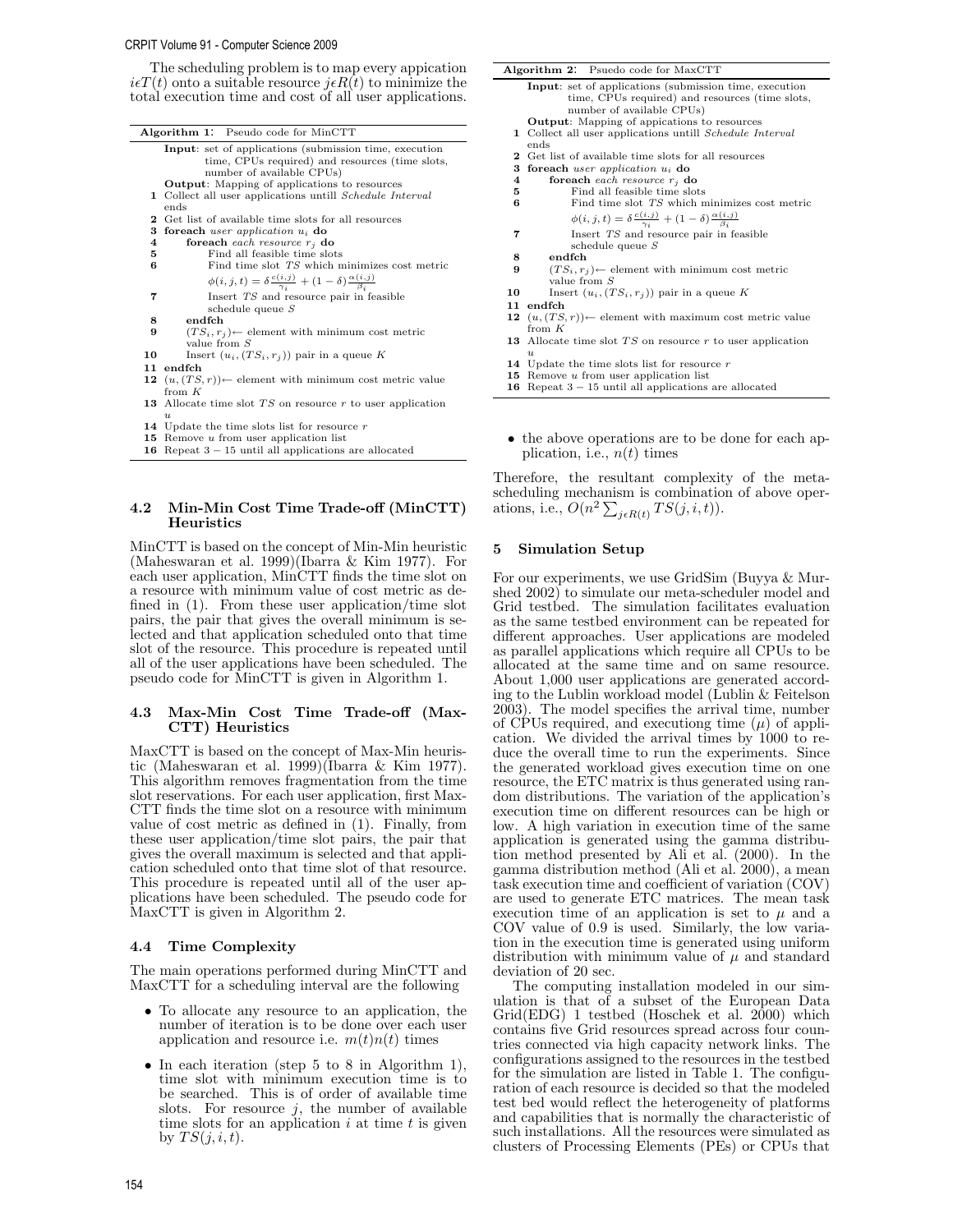#### CRPIT Volume 91 - Computer Science 2009

The scheduling problem is to map every appication  $i\epsilon T(t)$  onto a suitable resource  $j\epsilon R(t)$  to minimize the total execution time and cost of all user applications.

| <b>Algorithm 1:</b> Pseudo code for MinCTT |                                                                                         |  |  |  |  |  |  |
|--------------------------------------------|-----------------------------------------------------------------------------------------|--|--|--|--|--|--|
|                                            | Input: set of applications (submission time, execution                                  |  |  |  |  |  |  |
|                                            | time, CPUs required) and resources (time slots,                                         |  |  |  |  |  |  |
|                                            | number of available CPUs)                                                               |  |  |  |  |  |  |
|                                            | <b>Output:</b> Mapping of applications to resources                                     |  |  |  |  |  |  |
|                                            | 1 Collect all user applications untill <i>Schedule Interval</i>                         |  |  |  |  |  |  |
|                                            | ends                                                                                    |  |  |  |  |  |  |
|                                            | <b>2</b> Get list of available time slots for all resources                             |  |  |  |  |  |  |
| з.                                         | foreach user application $u_i$ do                                                       |  |  |  |  |  |  |
| 4                                          | foreach each resource $r_i$ do                                                          |  |  |  |  |  |  |
| 5                                          | Find all feasible time slots                                                            |  |  |  |  |  |  |
| 6                                          | Find time slot TS which minimizes cost metric                                           |  |  |  |  |  |  |
|                                            | $\phi(i,j,t) = \delta \frac{c(i,j)}{\gamma_i} + (1-\delta) \frac{\alpha(i,j)}{\beta_i}$ |  |  |  |  |  |  |
| 7                                          | Insert TS and resource pair in feasible                                                 |  |  |  |  |  |  |
|                                            | schedule queue $S$                                                                      |  |  |  |  |  |  |
| 8                                          | endfch                                                                                  |  |  |  |  |  |  |
| 9                                          | $(TS_i, r_i)$ element with minimum cost metric                                          |  |  |  |  |  |  |
|                                            | value from $S$                                                                          |  |  |  |  |  |  |
| 10                                         | Insert $(u_i, (TS_i, r_j))$ pair in a queue K                                           |  |  |  |  |  |  |
| 11                                         | endfch                                                                                  |  |  |  |  |  |  |
|                                            | 12 $(u, (TS, r))$ element with minimum cost metric value                                |  |  |  |  |  |  |
|                                            | from $K$                                                                                |  |  |  |  |  |  |
|                                            | <b>13</b> Allocate time slot $TS$ on resource $r$ to user application                   |  |  |  |  |  |  |
|                                            | $\boldsymbol{u}$                                                                        |  |  |  |  |  |  |
|                                            | 14 Update the time slots list for resource $r$                                          |  |  |  |  |  |  |
|                                            | <b>15</b> Remove u from user application list                                           |  |  |  |  |  |  |
|                                            | <b>16</b> Repeat $3-15$ until all applications are allocated                            |  |  |  |  |  |  |

# 4.2 Min-Min Cost Time Trade-off (MinCTT) **Heuristics**

MinCTT is based on the concept of Min-Min heuristic (Maheswaran et al. 1999)(Ibarra & Kim 1977). For each user application, MinCTT finds the time slot on a resource with minimum value of cost metric as defined in (1). From these user application/time slot pairs, the pair that gives the overall minimum is selected and that application scheduled onto that time slot of the resource. This procedure is repeated until all of the user applications have been scheduled. The pseudo code for MinCTT is given in Algorithm 1.

# 4.3 Max-Min Cost Time Trade-off (Max-CTT) Heuristics

MaxCTT is based on the concept of Max-Min heuristic (Maheswaran et al. 1999)(Ibarra & Kim 1977). This algorithm removes fragmentation from the time slot reservations. For each user application, first Max-CTT finds the time slot on a resource with minimum value of cost metric as defined in (1). Finally, from these user application/time slot pairs, the pair that gives the overall maximum is selected and that application scheduled onto that time slot of that resource. This procedure is repeated until all of the user applications have been scheduled. The pseudo code for MaxCTT is given in Algorithm 2.

# 4.4 Time Complexity

The main operations performed during MinCTT and MaxCTT for a scheduling interval are the following

- To allocate any resource to an application, the number of iteration is to be done over each user application and resource i.e.  $m(t)n(t)$  times
- In each iteration (step 5 to 8 in Algorithm 1), time slot with minimum execution time is to be searched. This is of order of available time slots. For resource  $j$ , the number of available time slots for an application  $i$  at time  $t$  is given by  $TS(j, i, t)$ .

| Algorithm 2: Psuedo code for MaxCTT<br><b>Input:</b> set of applications (submission time, execution<br>time, CPUs required) and resources (time slots,<br>number of available CPUs)<br><b>Output:</b> Mapping of appications to resources<br>1 Collect all user applications untill <i>Schedule Interval</i><br>ends<br>2 Get list of available time slots for all resources<br>3<br>foreach user application $u_i$ do<br>foreach each resource $r_i$ do<br>$\overline{\bf 4}$<br>Find all feasible time slots<br>5<br>Find time slot TS which minimizes cost metric<br>6<br>$\phi(i,j,t) = \delta \frac{c(i,j)}{\gamma_i} + (1-\delta) \frac{\alpha(i,j)}{\beta_i}$<br>Insert TS and resource pair in feasible<br>7<br>schedule queue $S$<br>endfch<br>8<br>$(TS_i, r_i)$ element with minimum cost metric<br>9<br>value from $S$<br>Insert $(u_i, (TS_i, r_i))$ pair in a queue K<br>10<br>11<br>endfch<br>$(u,(TS,r))$ element with maximum cost metric value<br>12<br>from $K$<br><b>13</b> Allocate time slot $TS$ on resource r to user application<br>$\boldsymbol{u}$<br>14 Update the time slots list for resource r<br>15<br>Remove u from user application list<br>Repeat $3-15$ until all applications are allocated<br>16 |  |  |  |  |  |  |  |  |
|-----------------------------------------------------------------------------------------------------------------------------------------------------------------------------------------------------------------------------------------------------------------------------------------------------------------------------------------------------------------------------------------------------------------------------------------------------------------------------------------------------------------------------------------------------------------------------------------------------------------------------------------------------------------------------------------------------------------------------------------------------------------------------------------------------------------------------------------------------------------------------------------------------------------------------------------------------------------------------------------------------------------------------------------------------------------------------------------------------------------------------------------------------------------------------------------------------------------------------------------|--|--|--|--|--|--|--|--|
|                                                                                                                                                                                                                                                                                                                                                                                                                                                                                                                                                                                                                                                                                                                                                                                                                                                                                                                                                                                                                                                                                                                                                                                                                                         |  |  |  |  |  |  |  |  |
|                                                                                                                                                                                                                                                                                                                                                                                                                                                                                                                                                                                                                                                                                                                                                                                                                                                                                                                                                                                                                                                                                                                                                                                                                                         |  |  |  |  |  |  |  |  |
|                                                                                                                                                                                                                                                                                                                                                                                                                                                                                                                                                                                                                                                                                                                                                                                                                                                                                                                                                                                                                                                                                                                                                                                                                                         |  |  |  |  |  |  |  |  |
|                                                                                                                                                                                                                                                                                                                                                                                                                                                                                                                                                                                                                                                                                                                                                                                                                                                                                                                                                                                                                                                                                                                                                                                                                                         |  |  |  |  |  |  |  |  |
|                                                                                                                                                                                                                                                                                                                                                                                                                                                                                                                                                                                                                                                                                                                                                                                                                                                                                                                                                                                                                                                                                                                                                                                                                                         |  |  |  |  |  |  |  |  |
|                                                                                                                                                                                                                                                                                                                                                                                                                                                                                                                                                                                                                                                                                                                                                                                                                                                                                                                                                                                                                                                                                                                                                                                                                                         |  |  |  |  |  |  |  |  |
|                                                                                                                                                                                                                                                                                                                                                                                                                                                                                                                                                                                                                                                                                                                                                                                                                                                                                                                                                                                                                                                                                                                                                                                                                                         |  |  |  |  |  |  |  |  |
|                                                                                                                                                                                                                                                                                                                                                                                                                                                                                                                                                                                                                                                                                                                                                                                                                                                                                                                                                                                                                                                                                                                                                                                                                                         |  |  |  |  |  |  |  |  |
|                                                                                                                                                                                                                                                                                                                                                                                                                                                                                                                                                                                                                                                                                                                                                                                                                                                                                                                                                                                                                                                                                                                                                                                                                                         |  |  |  |  |  |  |  |  |
|                                                                                                                                                                                                                                                                                                                                                                                                                                                                                                                                                                                                                                                                                                                                                                                                                                                                                                                                                                                                                                                                                                                                                                                                                                         |  |  |  |  |  |  |  |  |
|                                                                                                                                                                                                                                                                                                                                                                                                                                                                                                                                                                                                                                                                                                                                                                                                                                                                                                                                                                                                                                                                                                                                                                                                                                         |  |  |  |  |  |  |  |  |
|                                                                                                                                                                                                                                                                                                                                                                                                                                                                                                                                                                                                                                                                                                                                                                                                                                                                                                                                                                                                                                                                                                                                                                                                                                         |  |  |  |  |  |  |  |  |
|                                                                                                                                                                                                                                                                                                                                                                                                                                                                                                                                                                                                                                                                                                                                                                                                                                                                                                                                                                                                                                                                                                                                                                                                                                         |  |  |  |  |  |  |  |  |
|                                                                                                                                                                                                                                                                                                                                                                                                                                                                                                                                                                                                                                                                                                                                                                                                                                                                                                                                                                                                                                                                                                                                                                                                                                         |  |  |  |  |  |  |  |  |
|                                                                                                                                                                                                                                                                                                                                                                                                                                                                                                                                                                                                                                                                                                                                                                                                                                                                                                                                                                                                                                                                                                                                                                                                                                         |  |  |  |  |  |  |  |  |
|                                                                                                                                                                                                                                                                                                                                                                                                                                                                                                                                                                                                                                                                                                                                                                                                                                                                                                                                                                                                                                                                                                                                                                                                                                         |  |  |  |  |  |  |  |  |
|                                                                                                                                                                                                                                                                                                                                                                                                                                                                                                                                                                                                                                                                                                                                                                                                                                                                                                                                                                                                                                                                                                                                                                                                                                         |  |  |  |  |  |  |  |  |
|                                                                                                                                                                                                                                                                                                                                                                                                                                                                                                                                                                                                                                                                                                                                                                                                                                                                                                                                                                                                                                                                                                                                                                                                                                         |  |  |  |  |  |  |  |  |
|                                                                                                                                                                                                                                                                                                                                                                                                                                                                                                                                                                                                                                                                                                                                                                                                                                                                                                                                                                                                                                                                                                                                                                                                                                         |  |  |  |  |  |  |  |  |
|                                                                                                                                                                                                                                                                                                                                                                                                                                                                                                                                                                                                                                                                                                                                                                                                                                                                                                                                                                                                                                                                                                                                                                                                                                         |  |  |  |  |  |  |  |  |
|                                                                                                                                                                                                                                                                                                                                                                                                                                                                                                                                                                                                                                                                                                                                                                                                                                                                                                                                                                                                                                                                                                                                                                                                                                         |  |  |  |  |  |  |  |  |
|                                                                                                                                                                                                                                                                                                                                                                                                                                                                                                                                                                                                                                                                                                                                                                                                                                                                                                                                                                                                                                                                                                                                                                                                                                         |  |  |  |  |  |  |  |  |
|                                                                                                                                                                                                                                                                                                                                                                                                                                                                                                                                                                                                                                                                                                                                                                                                                                                                                                                                                                                                                                                                                                                                                                                                                                         |  |  |  |  |  |  |  |  |
|                                                                                                                                                                                                                                                                                                                                                                                                                                                                                                                                                                                                                                                                                                                                                                                                                                                                                                                                                                                                                                                                                                                                                                                                                                         |  |  |  |  |  |  |  |  |
|                                                                                                                                                                                                                                                                                                                                                                                                                                                                                                                                                                                                                                                                                                                                                                                                                                                                                                                                                                                                                                                                                                                                                                                                                                         |  |  |  |  |  |  |  |  |
|                                                                                                                                                                                                                                                                                                                                                                                                                                                                                                                                                                                                                                                                                                                                                                                                                                                                                                                                                                                                                                                                                                                                                                                                                                         |  |  |  |  |  |  |  |  |

• the above operations are to be done for each application, i.e.,  $n(t)$  times

Therefore, the resultant complexity of the metascheduling mechanism is combination of above operations, i.e.,  $O(n^2 \sum_{j \in R(t)} TS(j, i, t)).$ 

## 5 Simulation Setup

For our experiments, we use GridSim (Buyya & Murshed 2002) to simulate our meta-scheduler model and Grid testbed. The simulation facilitates evaluation as the same testbed environment can be repeated for different approaches. User applications are modeled as parallel applications which require all CPUs to be allocated at the same time and on same resource. About 1,000 user applications are generated according to the Lublin workload model (Lublin & Feitelson 2003). The model specifies the arrival time, number of CPUs required, and executiong time  $(\mu)$  of application. We divided the arrival times by 1000 to reduce the overall time to run the experiments. Since the generated workload gives execution time on one resource, the ETC matrix is thus generated using random distributions. The variation of the application's execution time on different resources can be high or low. A high variation in execution time of the same application is generated using the gamma distribution method presented by Ali et al. (2000). In the gamma distribution method (Ali et al. 2000), a mean task execution time and coefficient of variation (COV) are used to generate ETC matrices. The mean task execution time of an application is set to  $\mu$  and a COV value of 0.9 is used. Similarly, the low variation in the execution time is generated using uniform distribution with minimum value of  $\mu$  and standard deviation of 20 sec.

The computing installation modeled in our simulation is that of a subset of the European Data  $Grid(EDG)$  1 testbed (Hoschek et al. 2000) which contains five Grid resources spread across four countries connected via high capacity network links. The configurations assigned to the resources in the testbed for the simulation are listed in Table 1. The configuration of each resource is decided so that the modeled test bed would reflect the heterogeneity of platforms and capabilities that is normally the characteristic of such installations. All the resources were simulated as clusters of Processing Elements (PEs) or CPUs that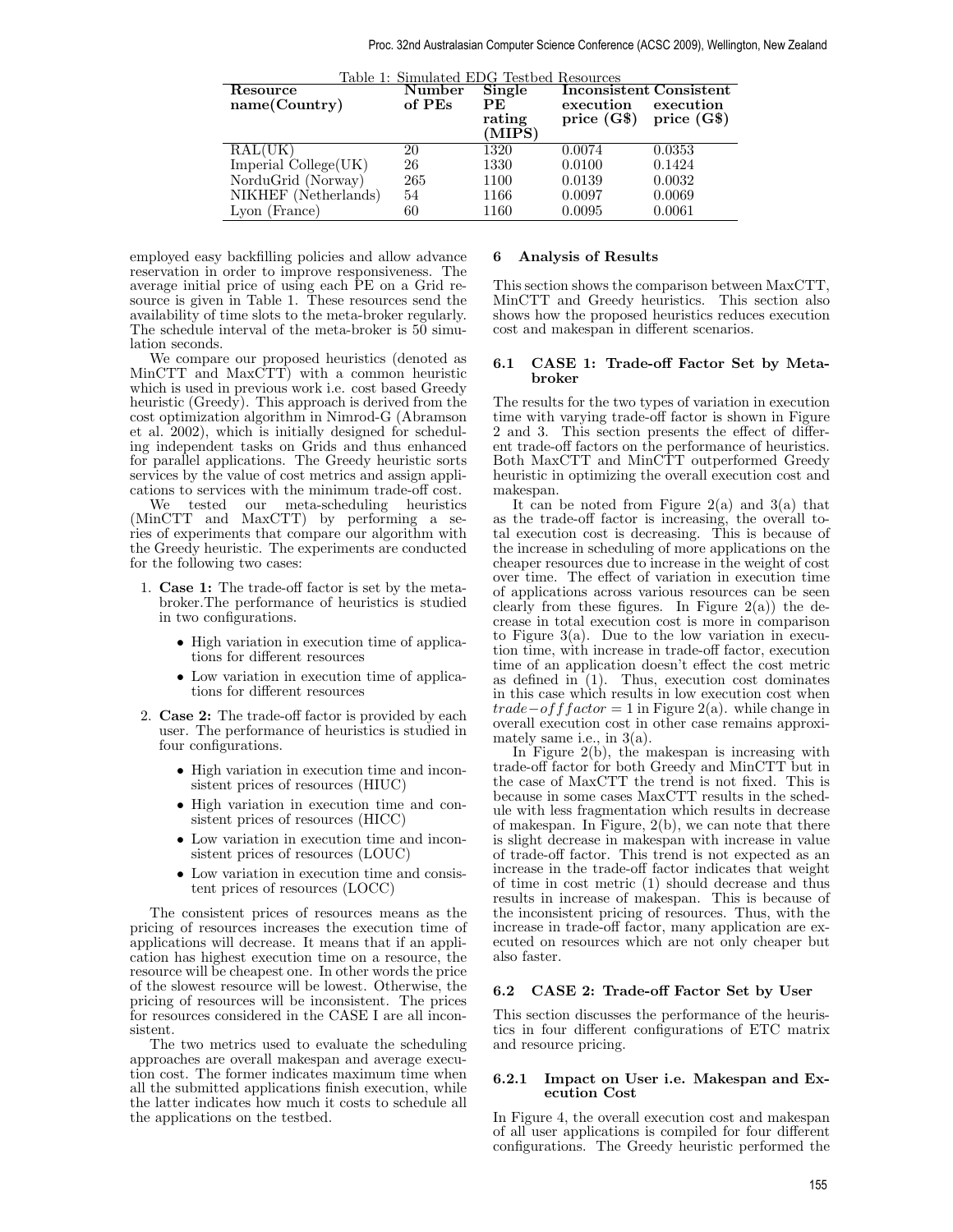| Table 1: Simulated EDG Testbed Resources |        |        |              |                                |  |  |  |  |
|------------------------------------------|--------|--------|--------------|--------------------------------|--|--|--|--|
| Resource                                 | Number | Single |              | <b>Inconsistent Consistent</b> |  |  |  |  |
| name(Country)                            | of PEs | PE.    | execution    | execution                      |  |  |  |  |
|                                          |        | rating | price $(G$)$ | price $(G$)$                   |  |  |  |  |
|                                          |        | (MIPS) |              |                                |  |  |  |  |
| RAL(UK)                                  | 20     | 1320   | 0.0074       | 0.0353                         |  |  |  |  |
| Imperial College(UK)                     | 26     | 1330   | 0.0100       | 0.1424                         |  |  |  |  |
| NorduGrid (Norway)                       | 265    | 1100   | 0.0139       | 0.0032                         |  |  |  |  |
| NIKHEF (Netherlands)                     | 54     | 1166   | 0.0097       | 0.0069                         |  |  |  |  |
| Lyon (France)                            | 60     | 1160   | 0.0095       | 0.0061                         |  |  |  |  |

employed easy backfilling policies and allow advance reservation in order to improve responsiveness. The average initial price of using each PE on a Grid resource is given in Table 1. These resources send the availability of time slots to the meta-broker regularly. The schedule interval of the meta-broker is 50 simulation seconds.

We compare our proposed heuristics (denoted as MinCTT and MaxCTT) with a common heuristic which is used in previous work i.e. cost based Greedy heuristic (Greedy). This approach is derived from the cost optimization algorithm in Nimrod-G (Abramson et al. 2002), which is initially designed for scheduling independent tasks on Grids and thus enhanced for parallel applications. The Greedy heuristic sorts services by the value of cost metrics and assign applications to services with the minimum trade-off cost.

our meta-scheduling heuristics (MinCTT and MaxCTT) by performing a series of experiments that compare our algorithm with the Greedy heuristic. The experiments are conducted for the following two cases:

- 1. Case 1: The trade-off factor is set by the metabroker.The performance of heuristics is studied in two configurations.
	- High variation in execution time of applications for different resources
	- Low variation in execution time of applications for different resources
- 2. Case 2: The trade-off factor is provided by each user. The performance of heuristics is studied in four configurations.
	- High variation in execution time and inconsistent prices of resources (HIUC)
	- High variation in execution time and consistent prices of resources (HICC)
	- Low variation in execution time and inconsistent prices of resources (LOUC)
	- Low variation in execution time and consistent prices of resources (LOCC)

The consistent prices of resources means as the pricing of resources increases the execution time of applications will decrease. It means that if an application has highest execution time on a resource, the resource will be cheapest one. In other words the price of the slowest resource will be lowest. Otherwise, the pricing of resources will be inconsistent. The prices for resources considered in the CASE I are all inconsistent.

The two metrics used to evaluate the scheduling approaches are overall makespan and average execution cost. The former indicates maximum time when all the submitted applications finish execution, while the latter indicates how much it costs to schedule all the applications on the testbed.

# 6 Analysis of Results

This section shows the comparison between MaxCTT, MinCTT and Greedy heuristics. This section also shows how the proposed heuristics reduces execution cost and makespan in different scenarios.

# 6.1 CASE 1: Trade-off Factor Set by Metabroker

The results for the two types of variation in execution time with varying trade-off factor is shown in Figure 2 and 3. This section presents the effect of different trade-off factors on the performance of heuristics. Both MaxCTT and MinCTT outperformed Greedy heuristic in optimizing the overall execution cost and makespan.

It can be noted from Figure  $2(a)$  and  $3(a)$  that as the trade-off factor is increasing, the overall total execution cost is decreasing. This is because of the increase in scheduling of more applications on the cheaper resources due to increase in the weight of cost over time. The effect of variation in execution time of applications across various resources can be seen clearly from these figures. In Figure  $2(a)$  the decrease in total execution cost is more in comparison to Figure  $3(a)$ . Due to the low variation in execution time, with increase in trade-off factor, execution time of an application doesn't effect the cost metric as defined in  $(1)$ . Thus, execution cost dominates in this case which results in low execution cost when  $trade-off factor = 1$  in Figure 2(a). while change in overall execution cost in other case remains approximately same i.e., in 3(a).

In Figure  $2(b)$ , the makespan is increasing with trade-off factor for both Greedy and MinCTT but in the case of MaxCTT the trend is not fixed. This is because in some cases MaxCTT results in the schedule with less fragmentation which results in decrease of makespan. In Figure, 2(b), we can note that there is slight decrease in makespan with increase in value of trade-off factor. This trend is not expected as an increase in the trade-off factor indicates that weight of time in cost metric (1) should decrease and thus results in increase of makespan. This is because of the inconsistent pricing of resources. Thus, with the increase in trade-off factor, many application are executed on resources which are not only cheaper but also faster.

# 6.2 CASE 2: Trade-off Factor Set by User

This section discusses the performance of the heuristics in four different configurations of ETC matrix and resource pricing.

## 6.2.1 Impact on User i.e. Makespan and Execution Cost

In Figure 4, the overall execution cost and makespan of all user applications is compiled for four different configurations. The Greedy heuristic performed the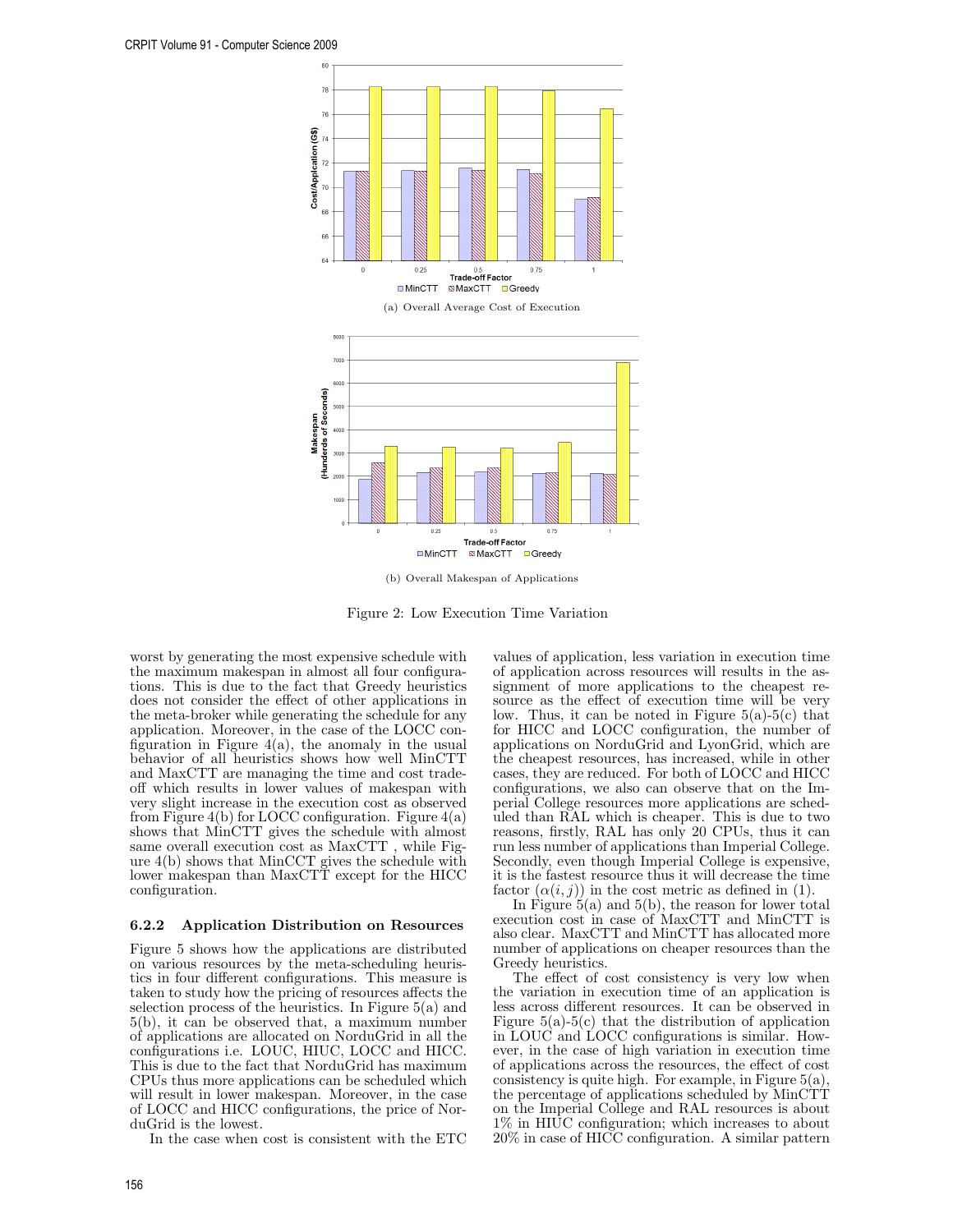

(b) Overall Makespan of Applications

Figure 2: Low Execution Time Variation

worst by generating the most expensive schedule with the maximum makespan in almost all four configurations. This is due to the fact that Greedy heuristics does not consider the effect of other applications in the meta-broker while generating the schedule for any application. Moreover, in the case of the LOCC configuration in Figure  $4(a)$ , the anomaly in the usual behavior of all heuristics shows how well MinCTT and MaxCTT are managing the time and cost tradeoff which results in lower values of makespan with very slight increase in the execution cost as observed from Figure 4(b) for LOCC configuration. Figure  $4(a)$ shows that MinCTT gives the schedule with almost same overall execution cost as MaxCTT , while Figure 4(b) shows that MinCCT gives the schedule with lower makespan than MaxCTT except for the HICC configuration.

# 6.2.2 Application Distribution on Resources

Figure 5 shows how the applications are distributed on various resources by the meta-scheduling heuristics in four different configurations. This measure is taken to study how the pricing of resources affects the selection process of the heuristics. In Figure  $5(a)$  and 5(b), it can be observed that, a maximum number of applications are allocated on NorduGrid in all the configurations i.e. LOUC, HIUC, LOCC and HICC. This is due to the fact that NorduGrid has maximum CPUs thus more applications can be scheduled which will result in lower makespan. Moreover, in the case of LOCC and HICC configurations, the price of NorduGrid is the lowest.

In the case when cost is consistent with the ETC

values of application, less variation in execution time of application across resources will results in the assignment of more applications to the cheapest resource as the effect of execution time will be very low. Thus, it can be noted in Figure  $5(a)-5(c)$  that for HICC and LOCC configuration, the number of applications on NorduGrid and LyonGrid, which are the cheapest resources, has increased, while in other cases, they are reduced. For both of LOCC and HICC configurations, we also can observe that on the Imperial College resources more applications are scheduled than RAL which is cheaper. This is due to two reasons, firstly, RAL has only 20 CPUs, thus it can run less number of applications than Imperial College. Secondly, even though Imperial College is expensive, it is the fastest resource thus it will decrease the time factor  $(\alpha(i,j))$  in the cost metric as defined in (1).

In Figure 5(a) and 5(b), the reason for lower total execution cost in case of MaxCTT and MinCTT is also clear. MaxCTT and MinCTT has allocated more number of applications on cheaper resources than the Greedy heuristics.

The effect of cost consistency is very low when the variation in execution time of an application is less across different resources. It can be observed in Figure  $5(a)-5(c)$  that the distribution of application in LOUC and LOCC configurations is similar. However, in the case of high variation in execution time of applications across the resources, the effect of cost consistency is quite high. For example, in Figure 5(a), the percentage of applications scheduled by MinCTT on the Imperial College and RAL resources is about 1% in HIUC configuration; which increases to about 20% in case of HICC configuration. A similar pattern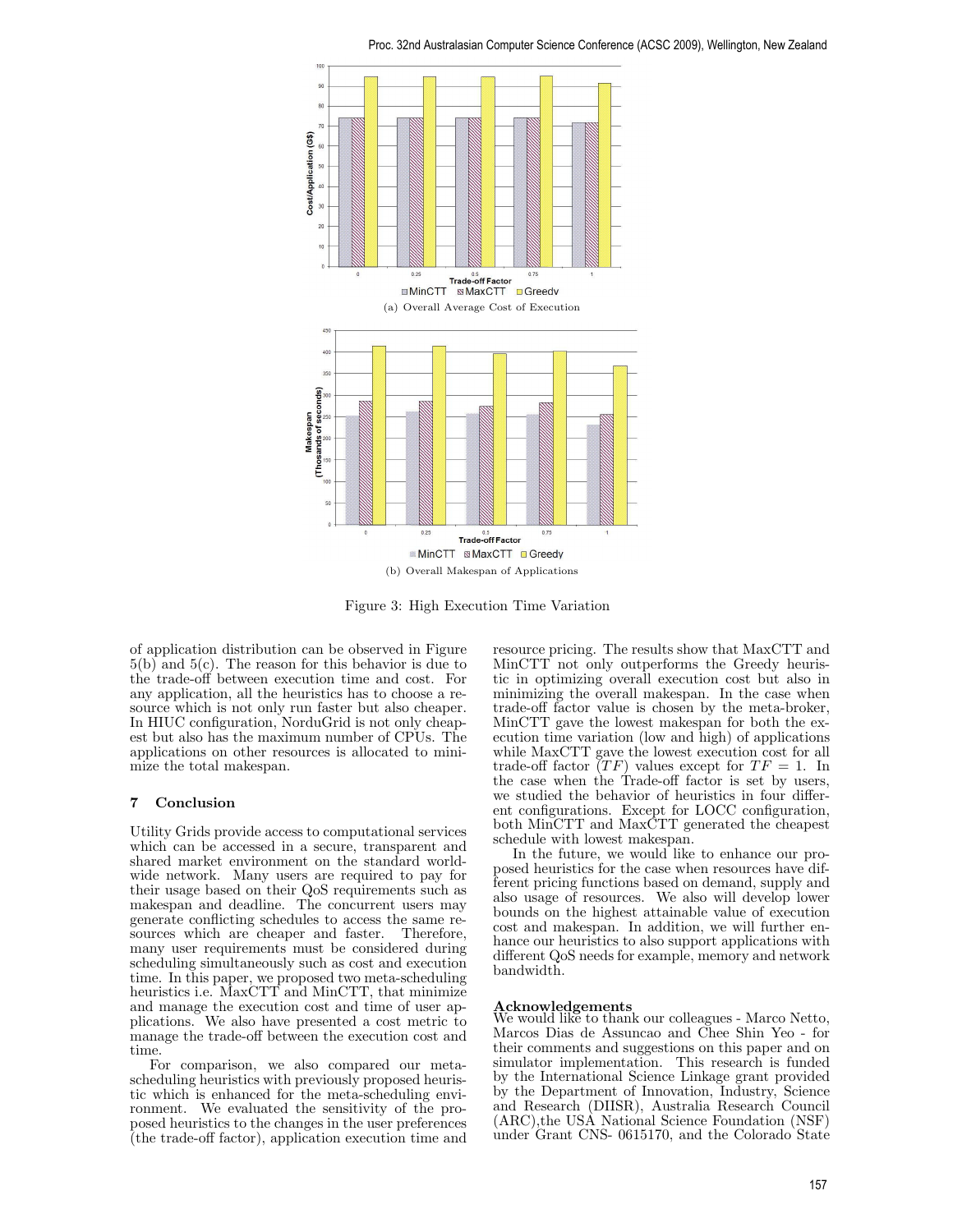

Figure 3: High Execution Time Variation

of application distribution can be observed in Figure 5(b) and 5(c). The reason for this behavior is due to the trade-off between execution time and cost. For any application, all the heuristics has to choose a resource which is not only run faster but also cheaper. In HIUC configuration, NorduGrid is not only cheapest but also has the maximum number of CPUs. The applications on other resources is allocated to minimize the total makespan.

# 7 Conclusion

Utility Grids provide access to computational services which can be accessed in a secure, transparent and shared market environment on the standard worldwide network. Many users are required to pay for their usage based on their QoS requirements such as makespan and deadline. The concurrent users may generate conflicting schedules to access the same resources which are cheaper and faster. Therefore, many user requirements must be considered during scheduling simultaneously such as cost and execution time. In this paper, we proposed two meta-scheduling heuristics i.e. MaxCTT and MinCTT, that minimize and manage the execution cost and time of user applications. We also have presented a cost metric to manage the trade-off between the execution cost and time.

For comparison, we also compared our metascheduling heuristics with previously proposed heuristic which is enhanced for the meta-scheduling environment. We evaluated the sensitivity of the proposed heuristics to the changes in the user preferences (the trade-off factor), application execution time and resource pricing. The results show that MaxCTT and MinCTT not only outperforms the Greedy heuristic in optimizing overall execution cost but also in minimizing the overall makespan. In the case when trade-off factor value is chosen by the meta-broker, MinCTT gave the lowest makespan for both the execution time variation (low and high) of applications while MaxCTT gave the lowest execution cost for all trade-off factor  $(TF)$  values except for  $TF = 1$ . In the case when the Trade-off factor is set by users, we studied the behavior of heuristics in four different configurations. Except for LOCC configuration, both MinCTT and MaxCTT generated the cheapest schedule with lowest makespan.

In the future, we would like to enhance our proposed heuristics for the case when resources have different pricing functions based on demand, supply and also usage of resources. We also will develop lower bounds on the highest attainable value of execution cost and makespan. In addition, we will further enhance our heuristics to also support applications with different QoS needs for example, memory and network bandwidth.

## Acknowledgements

We would like to thank our colleagues - Marco Netto, Marcos Dias de Assuncao and Chee Shin Yeo - for their comments and suggestions on this paper and on simulator implementation. This research is funded by the International Science Linkage grant provided by the Department of Innovation, Industry, Science and Research (DIISR), Australia Research Council (ARC),the USA National Science Foundation (NSF) under Grant CNS- 0615170, and the Colorado State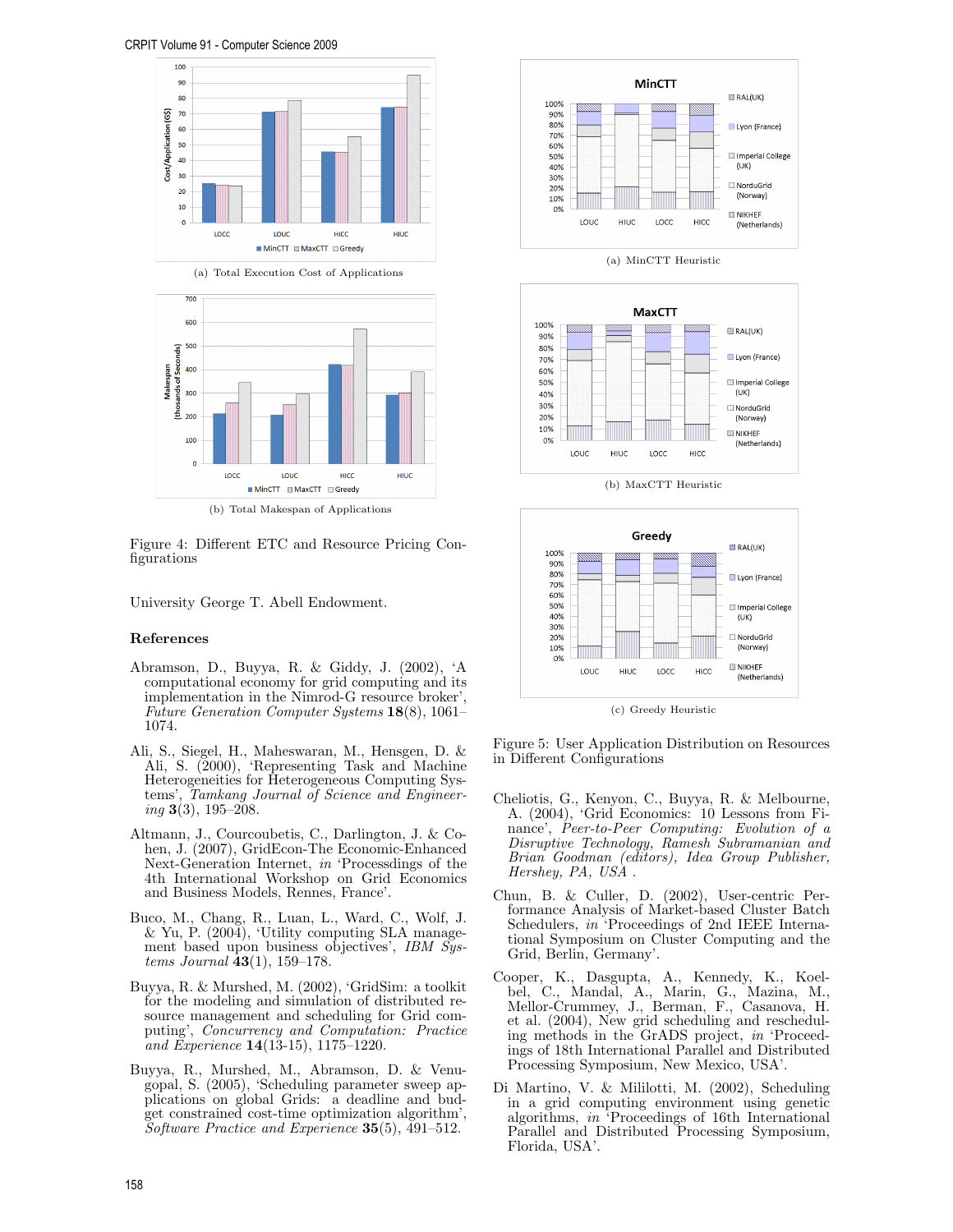





Figure 4: Different ETC and Resource Pricing Configurations

University George T. Abell Endowment.

## References

- Abramson, D., Buyya, R. & Giddy, J. (2002), 'A computational economy for grid computing and its implementation in the Nimrod-G resource broker', Future Generation Computer Systems 18(8), 1061– 1074.
- Ali, S., Siegel, H., Maheswaran, M., Hensgen, D. & Ali, S. (2000), 'Representing Task and Machine Heterogeneities for Heterogeneous Computing Systems', Tamkang Journal of Science and Engineer $inq$  3(3), 195–208.
- Altmann, J., Courcoubetis, C., Darlington, J. & Cohen, J. (2007), GridEcon-The Economic-Enhanced Next-Generation Internet, in 'Processdings of the 4th International Workshop on Grid Economics and Business Models, Rennes, France'.
- Buco, M., Chang, R., Luan, L., Ward, C., Wolf, J.  $& \text{Yu}, \text{P. (2004)}, \text{ 'Utility computing SLA manage-}$ ment based upon business objectives', IBM Systems Journal  $\bar{4}3(1)$ , 159–178.
- Buyya, R. & Murshed, M. (2002), 'GridSim: a toolkit for the modeling and simulation of distributed resource management and scheduling for Grid computing', Concurrency and Computation: Practice and Experience 14(13-15), 1175–1220.
- Buyya, R., Murshed, M., Abramson, D. & Venugopal, S. (2005), 'Scheduling parameter sweep applications on global Grids: a deadline and budget constrained cost-time optimization algorithm', Software Practice and Experience 35(5), 491-512.



(a) MinCTT Heuristic



(b) MaxCTT Heuristic



Figure 5: User Application Distribution on Resources in Different Configurations

- Cheliotis, G., Kenyon, C., Buyya, R. & Melbourne, A. (2004), 'Grid Economics: 10 Lessons from Finance', Peer-to-Peer Computing: Evolution of a Disruptive Technology, Ramesh Subramanian and Brian Goodman (editors), Idea Group Publisher, Hershey, PA, USA .
- Chun, B. & Culler, D. (2002), User-centric Performance Analysis of Market-based Cluster Batch Schedulers, in 'Proceedings of 2nd IEEE International Symposium on Cluster Computing and the Grid, Berlin, Germany'.
- Cooper, K., Dasgupta, A., Kennedy, K., Koelbel, C., Mandal, A., Marin, G., Mazina, M., Mellor-Crummey, J., Berman, F., Casanova, H. et al. (2004), New grid scheduling and rescheduling methods in the GrADS project, in 'Proceedings of 18th International Parallel and Distributed Processing Symposium, New Mexico, USA'.
- Di Martino, V. & Mililotti, M. (2002), Scheduling in a grid computing environment using genetic algorithms, in 'Proceedings of 16th International Parallel and Distributed Processing Symposium, Florida, USA'.